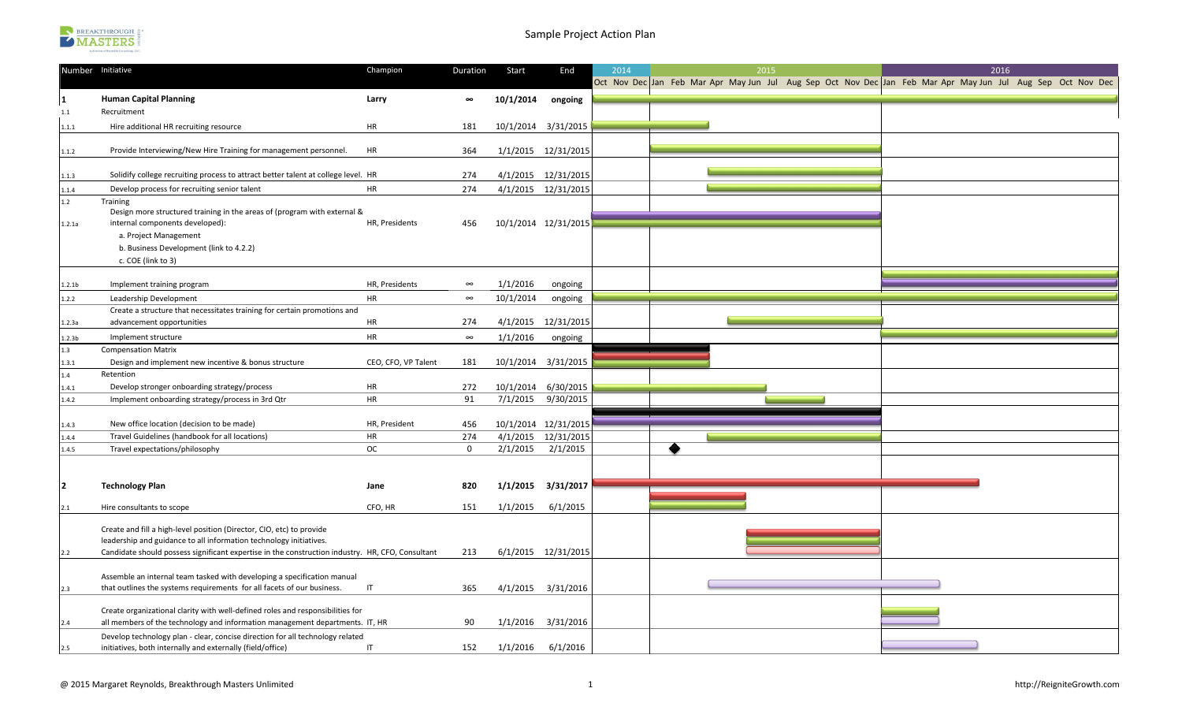

|                    | Number Initiative                                                                                                                           | Champion            | Duration     | Start     | End                  | 2014 | 2015                                                                                                        | 2016 |  |
|--------------------|---------------------------------------------------------------------------------------------------------------------------------------------|---------------------|--------------|-----------|----------------------|------|-------------------------------------------------------------------------------------------------------------|------|--|
|                    |                                                                                                                                             |                     |              |           |                      |      | Oct Nov Dec Jan Feb Mar Apr May Jun Jul Aug Sep Oct Nov Dec Jan Feb Mar Apr May Jun Jul Aug Sep Oct Nov Dec |      |  |
| 1                  | <b>Human Capital Planning</b>                                                                                                               | Larry               | $\infty$     | 10/1/2014 | ongoing              |      |                                                                                                             |      |  |
| 1.1                | Recruitment                                                                                                                                 |                     |              |           |                      |      |                                                                                                             |      |  |
| 1.1.1              | Hire additional HR recruiting resource                                                                                                      | HR                  | 181          |           | 10/1/2014 3/31/2015  |      |                                                                                                             |      |  |
|                    |                                                                                                                                             |                     |              |           |                      |      |                                                                                                             |      |  |
| 1.1.2              | Provide Interviewing/New Hire Training for management personnel.                                                                            | HR                  | 364          |           | 1/1/2015 12/31/2015  |      |                                                                                                             |      |  |
|                    |                                                                                                                                             |                     |              |           |                      |      |                                                                                                             |      |  |
| 1.1.3              | Solidify college recruiting process to attract better talent at college level. HR                                                           |                     | 274          |           | 4/1/2015 12/31/2015  |      |                                                                                                             |      |  |
| 1.1.4              | Develop process for recruiting senior talent                                                                                                | HR                  | 274          |           | 4/1/2015 12/31/2015  |      |                                                                                                             |      |  |
| 1.2                | Training                                                                                                                                    |                     |              |           |                      |      |                                                                                                             |      |  |
|                    | Design more structured training in the areas of (program with external &                                                                    |                     |              |           |                      |      |                                                                                                             |      |  |
| 1.2.1a             | internal components developed):                                                                                                             | HR, Presidents      | 456          |           | 10/1/2014 12/31/2015 |      |                                                                                                             |      |  |
|                    | a. Project Management                                                                                                                       |                     |              |           |                      |      |                                                                                                             |      |  |
|                    | b. Business Development (link to 4.2.2)                                                                                                     |                     |              |           |                      |      |                                                                                                             |      |  |
|                    | c. COE (link to 3)                                                                                                                          |                     |              |           |                      |      |                                                                                                             |      |  |
| 1.2.1 <sub>b</sub> | Implement training program                                                                                                                  | HR, Presidents      | $\infty$     | 1/1/2016  | ongoing              |      |                                                                                                             |      |  |
|                    |                                                                                                                                             | HR                  | $\infty$     |           |                      |      |                                                                                                             |      |  |
| 1.2.2              | Leadership Development<br>Create a structure that necessitates training for certain promotions and                                          |                     |              | 10/1/2014 | ongoing              |      |                                                                                                             |      |  |
| 1.2.3а             | advancement opportunities                                                                                                                   | HR                  | 274          |           | 4/1/2015 12/31/2015  |      |                                                                                                             |      |  |
|                    |                                                                                                                                             |                     |              |           |                      |      |                                                                                                             |      |  |
| 1.2.3 <sub>b</sub> | Implement structure                                                                                                                         | <b>HR</b>           | $\infty$     | 1/1/2016  | ongoing              |      |                                                                                                             |      |  |
| 1.3                | <b>Compensation Matrix</b>                                                                                                                  |                     |              |           |                      |      |                                                                                                             |      |  |
| 1.3.1              | Design and implement new incentive & bonus structure<br>Retention                                                                           | CEO, CFO, VP Talent | 181          |           | 10/1/2014 3/31/2015  |      |                                                                                                             |      |  |
| 1.4                |                                                                                                                                             | HR                  | 272          |           | 10/1/2014 6/30/2015  |      |                                                                                                             |      |  |
| 1.4.1<br>1.4.2     | Develop stronger onboarding strategy/process<br>Implement onboarding strategy/process in 3rd Qtr                                            | HR                  | 91           | 7/1/2015  | 9/30/2015            |      |                                                                                                             |      |  |
|                    |                                                                                                                                             |                     |              |           |                      |      |                                                                                                             |      |  |
| 1.4.3              | New office location (decision to be made)                                                                                                   | HR, President       | 456          |           | 10/1/2014 12/31/2015 |      |                                                                                                             |      |  |
| 1.4.4              | Travel Guidelines (handbook for all locations)                                                                                              | HR                  | 274          |           | 4/1/2015 12/31/2015  |      |                                                                                                             |      |  |
| 1.4.5              | Travel expectations/philosophy                                                                                                              | <b>OC</b>           | $\mathbf{0}$ | 2/1/2015  | 2/1/2015             |      |                                                                                                             |      |  |
|                    |                                                                                                                                             |                     |              |           |                      |      |                                                                                                             |      |  |
|                    |                                                                                                                                             |                     |              |           |                      |      |                                                                                                             |      |  |
| $\overline{2}$     | <b>Technology Plan</b>                                                                                                                      | Jane                | 820          | 1/1/2015  | 3/31/2017            |      |                                                                                                             |      |  |
|                    |                                                                                                                                             |                     |              |           |                      |      |                                                                                                             |      |  |
| 2.1                | Hire consultants to scope                                                                                                                   | CFO, HR             | 151          | 1/1/2015  | 6/1/2015             |      |                                                                                                             |      |  |
|                    |                                                                                                                                             |                     |              |           |                      |      |                                                                                                             |      |  |
|                    | Create and fill a high-level position (Director, CIO, etc) to provide<br>leadership and guidance to all information technology initiatives. |                     |              |           |                      |      |                                                                                                             |      |  |
| 2.2                | Candidate should possess significant expertise in the construction industry. HR, CFO, Consultant                                            |                     | 213          |           | 6/1/2015 12/31/2015  |      |                                                                                                             |      |  |
|                    |                                                                                                                                             |                     |              |           |                      |      |                                                                                                             |      |  |
|                    | Assemble an internal team tasked with developing a specification manual                                                                     |                     |              |           |                      |      |                                                                                                             |      |  |
| 2.3                | that outlines the systems requirements for all facets of our business.                                                                      | IT                  | 365          |           | 4/1/2015 3/31/2016   |      |                                                                                                             |      |  |
|                    |                                                                                                                                             |                     |              |           |                      |      |                                                                                                             |      |  |
|                    | Create organizational clarity with well-defined roles and responsibilities for                                                              |                     |              |           |                      |      |                                                                                                             |      |  |
| 2.4                | all members of the technology and information management departments. IT, HR                                                                |                     | 90           | 1/1/2016  | 3/31/2016            |      |                                                                                                             |      |  |
|                    | Develop technology plan - clear, concise direction for all technology related                                                               |                     |              |           |                      |      |                                                                                                             |      |  |
| 2.5                | initiatives, both internally and externally (field/office)                                                                                  | IT                  | 152          | 1/1/2016  | 6/1/2016             |      |                                                                                                             |      |  |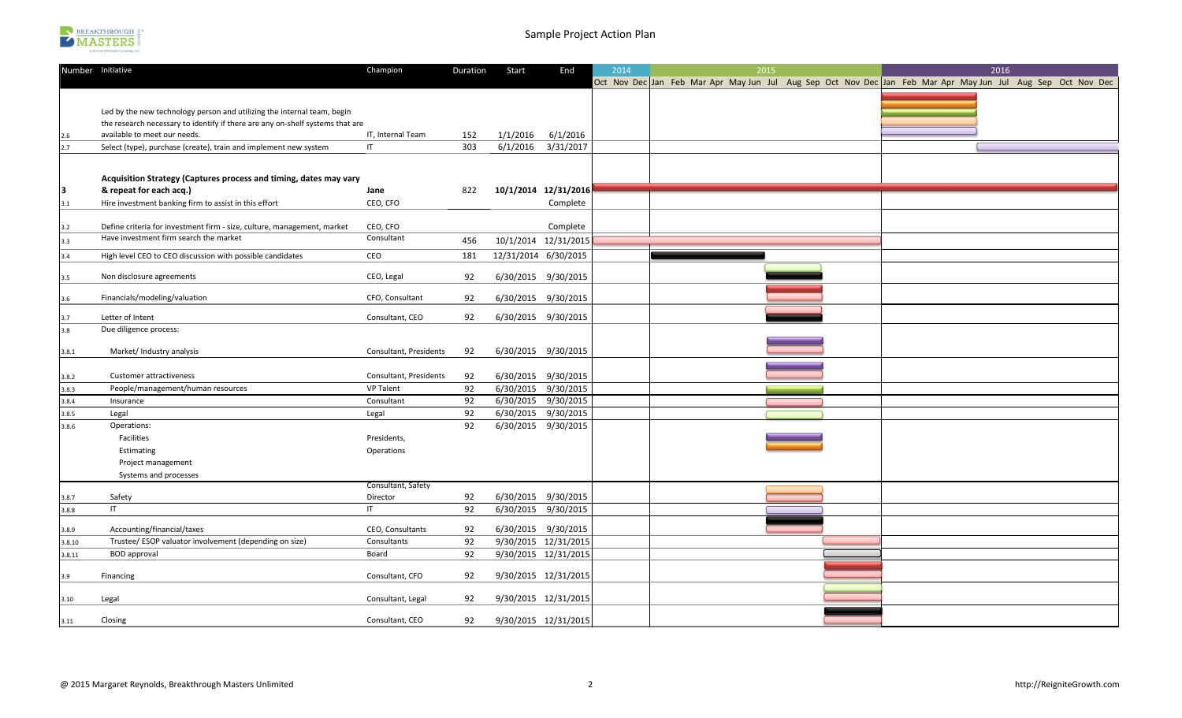

|        | Number Initiative                                                                                                 | Champion                                   | Duration | Start                | End                                        | 2014 | 2015 |  | 2016                                                                                                        |  |  |
|--------|-------------------------------------------------------------------------------------------------------------------|--------------------------------------------|----------|----------------------|--------------------------------------------|------|------|--|-------------------------------------------------------------------------------------------------------------|--|--|
|        |                                                                                                                   |                                            |          |                      |                                            |      |      |  | Oct Nov Dec Jan Feb Mar Apr May Jun Jul Aug Sep Oct Nov Dec Jan Feb Mar Apr May Jun Jul Aug Sep Oct Nov Dec |  |  |
|        |                                                                                                                   |                                            |          |                      |                                            |      |      |  |                                                                                                             |  |  |
|        | Led by the new technology person and utilizing the internal team, begin                                           |                                            |          |                      |                                            |      |      |  |                                                                                                             |  |  |
|        | the research necessary to identify if there are any on-shelf systems that are                                     |                                            |          |                      |                                            |      |      |  |                                                                                                             |  |  |
| 2.6    | available to meet our needs.                                                                                      | IT, Internal Team                          | 152      | 1/1/2016             | 6/1/2016                                   |      |      |  |                                                                                                             |  |  |
| 2.7    | Select (type), purchase (create), train and implement new system                                                  | $\mathsf{I}\mathsf{T}$                     | 303      | 6/1/2016             | 3/31/2017                                  |      |      |  |                                                                                                             |  |  |
|        |                                                                                                                   |                                            |          |                      |                                            |      |      |  |                                                                                                             |  |  |
|        |                                                                                                                   |                                            |          |                      |                                            |      |      |  |                                                                                                             |  |  |
|        | Acquisition Strategy (Captures process and timing, dates may vary                                                 |                                            |          |                      |                                            |      |      |  |                                                                                                             |  |  |
| 3      | & repeat for each acq.)                                                                                           | Jane                                       | 822      |                      | 10/1/2014 12/31/2016                       |      |      |  |                                                                                                             |  |  |
| 3.1    | Hire investment banking firm to assist in this effort                                                             | CEO, CFO                                   |          |                      | Complete                                   |      |      |  |                                                                                                             |  |  |
|        |                                                                                                                   |                                            |          |                      |                                            |      |      |  |                                                                                                             |  |  |
| 3.2    | Define criteria for investment firm - size, culture, management, market<br>Have investment firm search the market | CEO, CFO<br>Consultant                     |          |                      | Complete                                   |      |      |  |                                                                                                             |  |  |
| 3.3    |                                                                                                                   |                                            | 456      | 10/1/2014 12/31/2015 |                                            |      |      |  |                                                                                                             |  |  |
| 3.4    | High level CEO to CEO discussion with possible candidates                                                         | CEO                                        | 181      | 12/31/2014 6/30/2015 |                                            |      |      |  |                                                                                                             |  |  |
|        |                                                                                                                   |                                            |          |                      |                                            |      |      |  |                                                                                                             |  |  |
| 3.5    | Non disclosure agreements                                                                                         | CEO, Legal                                 | 92       |                      | 6/30/2015 9/30/2015                        |      |      |  |                                                                                                             |  |  |
| 3.6    | Financials/modeling/valuation                                                                                     | CFO, Consultant                            | 92       |                      | 6/30/2015 9/30/2015                        |      |      |  |                                                                                                             |  |  |
|        |                                                                                                                   |                                            |          |                      |                                            |      |      |  |                                                                                                             |  |  |
| 3.7    | Letter of Intent                                                                                                  | Consultant, CEO                            | 92       | 6/30/2015 9/30/2015  |                                            |      |      |  |                                                                                                             |  |  |
| 3.8    | Due diligence process:                                                                                            |                                            |          |                      |                                            |      |      |  |                                                                                                             |  |  |
|        |                                                                                                                   |                                            |          |                      |                                            |      |      |  |                                                                                                             |  |  |
| 3.8.1  | Market/ Industry analysis                                                                                         | Consultant, Presidents                     | 92       | 6/30/2015 9/30/2015  |                                            |      |      |  |                                                                                                             |  |  |
|        |                                                                                                                   |                                            |          |                      |                                            |      |      |  |                                                                                                             |  |  |
| 3.8.2  | Customer attractiveness                                                                                           | Consultant, Presidents<br><b>VP Talent</b> | 92<br>92 |                      | 6/30/2015 9/30/2015<br>6/30/2015 9/30/2015 |      |      |  |                                                                                                             |  |  |
| 3.8.3  | People/management/human resources<br>Insurance                                                                    | Consultant                                 | 92       |                      | 6/30/2015 9/30/2015                        |      |      |  |                                                                                                             |  |  |
| 3.8.4  |                                                                                                                   |                                            | 92       |                      | 6/30/2015 9/30/2015                        |      |      |  |                                                                                                             |  |  |
| 3.8.5  | Legal                                                                                                             | Legal                                      | 92       |                      | 6/30/2015 9/30/2015                        |      |      |  |                                                                                                             |  |  |
| 3.8.6  | Operations:<br>Facilities                                                                                         | Presidents,                                |          |                      |                                            |      |      |  |                                                                                                             |  |  |
|        | Estimating                                                                                                        | Operations                                 |          |                      |                                            |      |      |  |                                                                                                             |  |  |
|        | Project management                                                                                                |                                            |          |                      |                                            |      |      |  |                                                                                                             |  |  |
|        | Systems and processes                                                                                             |                                            |          |                      |                                            |      |      |  |                                                                                                             |  |  |
|        |                                                                                                                   | Consultant, Safety                         |          |                      |                                            |      |      |  |                                                                                                             |  |  |
| 3.8.7  | Safety                                                                                                            | Director                                   | 92       |                      | 6/30/2015 9/30/2015                        |      |      |  |                                                                                                             |  |  |
| 3.8.8  | IT                                                                                                                | $\mathsf{I}$                               | 92       |                      | 6/30/2015 9/30/2015                        |      |      |  |                                                                                                             |  |  |
|        |                                                                                                                   |                                            |          |                      |                                            |      |      |  |                                                                                                             |  |  |
| 3.8.9  | Accounting/financial/taxes                                                                                        | CEO, Consultants                           | 92       |                      | 6/30/2015 9/30/2015                        |      |      |  |                                                                                                             |  |  |
| 3.8.10 | Trustee/ ESOP valuator involvement (depending on size)                                                            | Consultants                                | 92       |                      | 9/30/2015 12/31/2015                       |      |      |  |                                                                                                             |  |  |
| 3.8.11 | <b>BOD</b> approval                                                                                               | Board                                      | 92       |                      | 9/30/2015 12/31/2015                       |      |      |  |                                                                                                             |  |  |
|        | Financing                                                                                                         | Consultant, CFO                            | 92       |                      | 9/30/2015 12/31/2015                       |      |      |  |                                                                                                             |  |  |
| 3.9    |                                                                                                                   |                                            |          |                      |                                            |      |      |  |                                                                                                             |  |  |
| 3.10   | Legal                                                                                                             | Consultant, Legal                          | 92       |                      | 9/30/2015 12/31/2015                       |      |      |  |                                                                                                             |  |  |
|        |                                                                                                                   |                                            |          |                      |                                            |      |      |  |                                                                                                             |  |  |
| 3.11   | Closing                                                                                                           | Consultant, CEO                            | 92       |                      | 9/30/2015 12/31/2015                       |      |      |  |                                                                                                             |  |  |
|        |                                                                                                                   |                                            |          |                      |                                            |      |      |  |                                                                                                             |  |  |